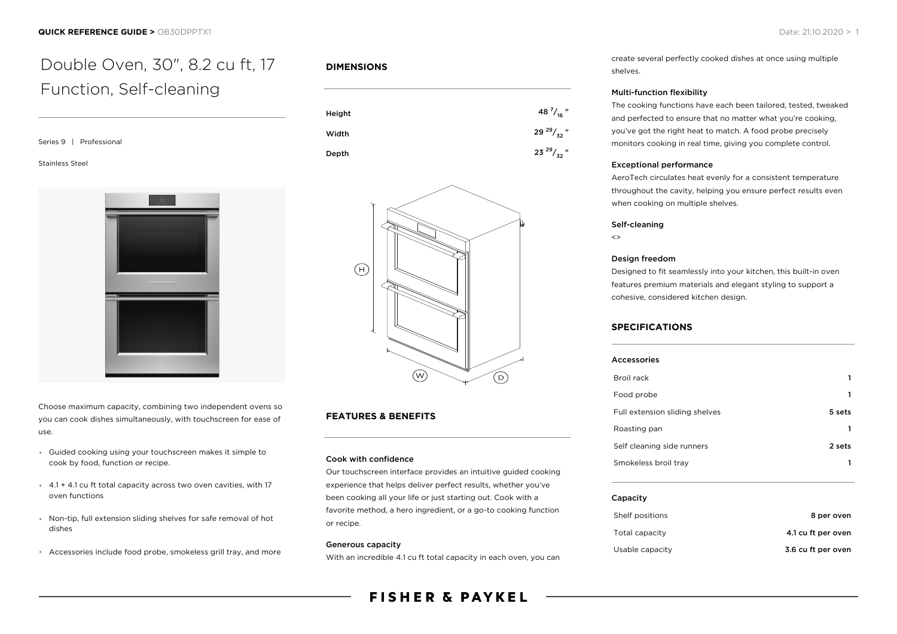# Double Oven, 30", 8.2 cu ft, 17 Function, Self-cleaning

Stainless Steel



Choose maximum capacity, combining two independent ovens so you can cook dishes simultaneously, with touchscreen for ease of use.

- Guided cooking using your touchscreen makes it simple to cook by food, function or recipe.
- 4.1 + 4.1 cu ft total capacity across two oven cavities, with 17 oven functions
- Non-tip, full extension sliding shelves for safe removal of hot dishes
- Accessories include food probe, smokeless grill tray, and more

### **DIMENSIONS**





## **FEATURES & BENEFITS**

#### Cook with confidence

Our touchscreen interface provides an intuitive guided cooking experience that helps deliver perfect results, whether you've been cooking all your life or just starting out. Cook with a favorite method, a hero ingredient, or a go-to cooking function or recipe.

#### Generous capacity

With an incredible 4.1 cu ft total capacity in each oven, you can

# **FISHER & PAYKEL**

create several perfectly cooked dishes at once using multiple shelves.

#### Multi-function flexibility

The cooking functions have each been tailored, tested, tweaked and perfected to ensure that no matter what you're cooking, you've got the right heat to match. A food probe precisely monitors cooking in real time, giving you complete control.

#### Exceptional performance

AeroTech circulates heat evenly for a consistent temperature throughout the cavity, helping you ensure perfect results even when cooking on multiple shelves.

#### Self-cleaning

 $\leftrightarrow$ 

#### Design freedom

Designed to fit seamlessly into your kitchen, this built-in oven features premium materials and elegant styling to support a cohesive, considered kitchen design.

### **SPECIFICATIONS**

| <b>Accessories</b>             |        |
|--------------------------------|--------|
| Broil rack                     | 1      |
| Food probe                     | 1      |
| Full extension sliding shelves | 5 sets |
| Roasting pan                   | 1      |
| Self cleaning side runners     | 2 sets |
| Smokeless broil tray           |        |
|                                |        |

#### Capacity

| Shelf positions | 8 per oven         |
|-----------------|--------------------|
| Total capacity  | 4.1 cu ft per oven |
| Usable capacity | 3.6 cu ft per oven |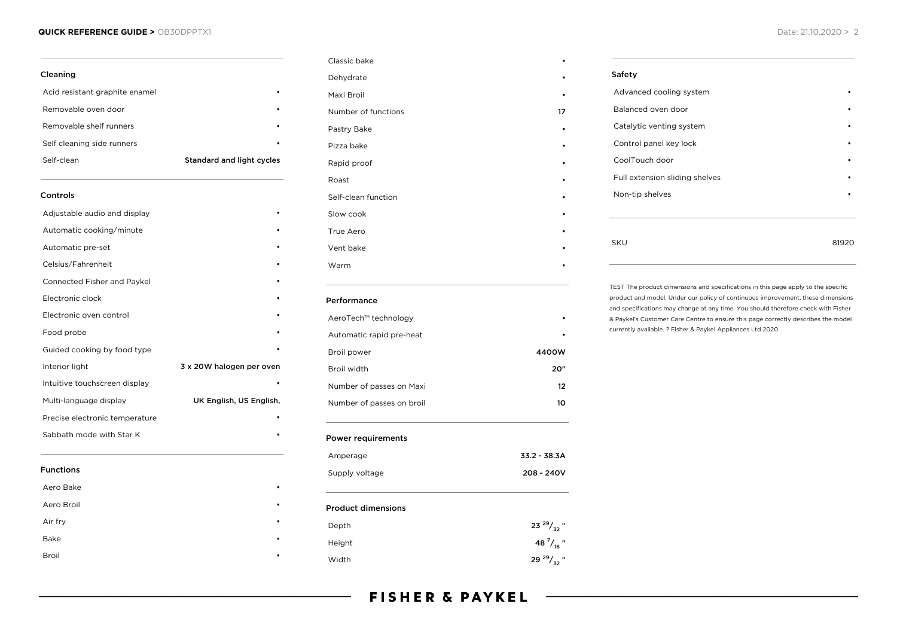#### **QUICK REFERENCE GUIDE >** OB30DPPTX1 Date: 21.10.2020 > 2

| Cleaning                       |                                  |
|--------------------------------|----------------------------------|
| Acid resistant graphite enamel |                                  |
| Removable oven door            |                                  |
| Removable shelf runners        |                                  |
| Self cleaning side runners     |                                  |
| Self-clean                     | <b>Standard and light cycles</b> |
| Controls                       |                                  |
| Adjustable audio and display   |                                  |
| Automatic cooking/minute       |                                  |
| Automatic pre-set              |                                  |
| Celsius/Fahrenheit             |                                  |
| Connected Fisher and Paykel    |                                  |
| Electronic clock               |                                  |
| Electronic oven control        |                                  |
| Food probe                     |                                  |
| Guided cooking by food type    |                                  |
| Interior light                 | 3 x 20W halogen per oven         |
| Intuitive touchscreen display  |                                  |
| Multi-language display         | UK English, US English,          |
| Precise electronic temperature |                                  |
| Sabbath mode with Star K       |                                  |
| <b>Functions</b>               |                                  |
| Aero Bake                      |                                  |
| Aero Broil                     |                                  |
| Air fry                        |                                  |
| Bake                           |                                  |
| Broil                          |                                  |

| Dehydrate                 |                     |
|---------------------------|---------------------|
| Maxi Broil                |                     |
| Number of functions       | 17                  |
| Pastry Bake               |                     |
| Pizza bake                |                     |
| Rapid proof               |                     |
| Roast                     |                     |
| Self-clean function       |                     |
| Slow cook                 |                     |
| True Aero                 |                     |
| Vent bake                 |                     |
| Warm                      |                     |
| Performance               |                     |
| AeroTech™ technology      |                     |
| Automatic rapid pre-heat  |                     |
| Broil power               | 4400W               |
| Broil width               | 20"                 |
| Number of passes on Maxi  | $12 \overline{ }$   |
| Number of passes on broil | 10                  |
| <b>Power requirements</b> |                     |
| Amperage                  | 33.2 - 38.3A        |
| Supply voltage            | 208 - 240V          |
| <b>Product dimensions</b> |                     |
| Depth                     | 23 $^{29}/_{32}$ "  |
| Height                    | 48 $\frac{7}{16}$ " |
| Width                     | 29 $^{29}/_{32}$ "  |

Classic bake •

| Advanced cooling system        |  |
|--------------------------------|--|
| Balanced oven door             |  |
| Catalytic venting system       |  |
| Control panel key lock         |  |
| CoolTouch door                 |  |
| Full extension sliding shelves |  |
| Non-tip shelves                |  |
|                                |  |
|                                |  |
| <b>SKU</b>                     |  |

TEST The product dimensions and specifications in this page apply to the specific product and model. Under our policy of continuous improvement, these dimensions and specifications may change at any time. You should therefore check with Fisher & Paykel's Customer Care Centre to ensure this page correctly describes the model currently available. ? Fisher & Paykel Appliances Ltd 2020

# **FISHER & PAYKEL**